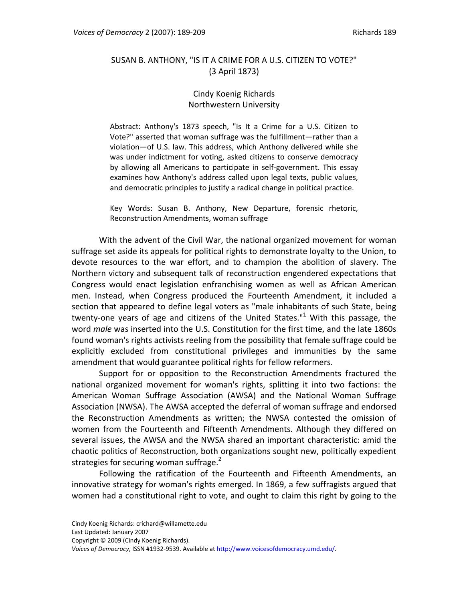## SUSAN B. ANTHONY, "IS IT A CRIME FOR A U.S. CITIZEN TO VOTE?" (3 April 1873)

## Cindy Koenig Richards Northwestern University

Abstract: Anthony's 1873 speech, "Is It a Crime for a U.S. Citizen to Vote?" asserted that woman suffrage was the fulfillment—rather than a violation—of U.S. law. This address, which Anthony delivered while she was under indictment for voting, asked citizens to conserve democracy by allowing all Americans to participate in self‐government. This essay examines how Anthony's address called upon legal texts, public values, and democratic principles to justify a radical change in political practice.

Key Words: Susan B. Anthony, New Departure, forensic rhetoric, Reconstruction Amendments, woman suffrage

With the advent of the Civil War, the national organized movement for woman suffrage set aside its appeals for political rights to demonstrate loyalty to the Union, to devote resources to the war effort, and to champion the abolition of slavery. The Northern victory and subsequent talk of reconstruction engendered expectations that Congress would enact legislation enfranchising women as well as African American men. Instead, when Congress produced the Fourteenth Amendment, it included a section that appeared to define legal voters as "male inhabitants of such State, being twenty-one years of age and citizens of the United States."<sup>1</sup> With this passage, the word *male* was inserted into the U.S. Constitution for the first time, and the late 1860s found woman's rights activists reeling from the possibility that female suffrage could be explicitly excluded from constitutional privileges and immunities by the same amendment that would guarantee political rights for fellow reformers.

Support for or opposition to the Reconstruction Amendments fractured the national organized movement for woman's rights, splitting it into two factions: the American Woman Suffrage Association (AWSA) and the National Woman Suffrage Association (NWSA). The AWSA accepted the deferral of woman suffrage and endorsed the Reconstruction Amendments as written; the NWSA contested the omission of women from the Fourteenth and Fifteenth Amendments. Although they differed on several issues, the AWSA and the NWSA shared an important characteristic: amid the chaotic politics of Reconstruction, both organizations sought new, politically expedient strategies for securing woman suffrage.<sup>2</sup>

Following the ratification of the Fourteenth and Fifteenth Amendments, an innovative strategy for woman's rights emerged. In 1869, a few suffragists argued that women had a constitutional right to vote, and ought to claim this right by going to the

- Last Updated: January 2007
- Copyright © 2009 (Cindy Koenig Richards).

*Voices of Democracy*, ISSN #1932‐9539. Available at http://www.voicesofdemocracy.umd.edu/.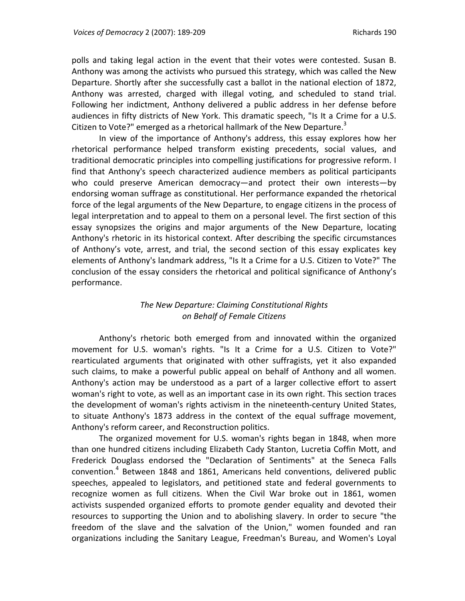polls and taking legal action in the event that their votes were contested. Susan B. Anthony was among the activists who pursued this strategy, which was called the New Departure. Shortly after she successfully cast a ballot in the national election of 1872, Anthony was arrested, charged with illegal voting, and scheduled to stand trial. Following her indictment, Anthony delivered a public address in her defense before audiences in fifty districts of New York. This dramatic speech, "Is It a Crime for a U.S. Citizen to Vote?" emerged as a rhetorical hallmark of the New Departure. $3$ 

In view of the importance of Anthony's address, this essay explores how her rhetorical performance helped transform existing precedents, social values, and traditional democratic principles into compelling justifications for progressive reform. I find that Anthony's speech characterized audience members as political participants who could preserve American democracy—and protect their own interests—by endorsing woman suffrage as constitutional. Her performance expanded the rhetorical force of the legal arguments of the New Departure, to engage citizens in the process of legal interpretation and to appeal to them on a personal level. The first section of this essay synopsizes the origins and major arguments of the New Departure, locating Anthony's rhetoric in its historical context. After describing the specific circumstances of Anthony's vote, arrest, and trial, the second section of this essay explicates key elements of Anthony's landmark address, "Is It a Crime for a U.S. Citizen to Vote?" The conclusion of the essay considers the rhetorical and political significance of Anthony's performance.

## *The New Departure: Claiming Constitutional Rights on Behalf of Female Citizens*

Anthony's rhetoric both emerged from and innovated within the organized movement for U.S. woman's rights. "Is It a Crime for a U.S. Citizen to Vote?" rearticulated arguments that originated with other suffragists, yet it also expanded such claims, to make a powerful public appeal on behalf of Anthony and all women. Anthony's action may be understood as a part of a larger collective effort to assert woman's right to vote, as well as an important case in its own right. This section traces the development of woman's rights activism in the nineteenth‐century United States, to situate Anthony's 1873 address in the context of the equal suffrage movement, Anthony's reform career, and Reconstruction politics.

The organized movement for U.S. woman's rights began in 1848, when more than one hundred citizens including Elizabeth Cady Stanton, Lucretia Coffin Mott, and Frederick Douglass endorsed the "Declaration of Sentiments" at the Seneca Falls convention.<sup>4</sup> Between 1848 and 1861, Americans held conventions, delivered public speeches, appealed to legislators, and petitioned state and federal governments to recognize women as full citizens. When the Civil War broke out in 1861, women activists suspended organized efforts to promote gender equality and devoted their resources to supporting the Union and to abolishing slavery. In order to secure "the freedom of the slave and the salvation of the Union," women founded and ran organizations including the Sanitary League, Freedman's Bureau, and Women's Loyal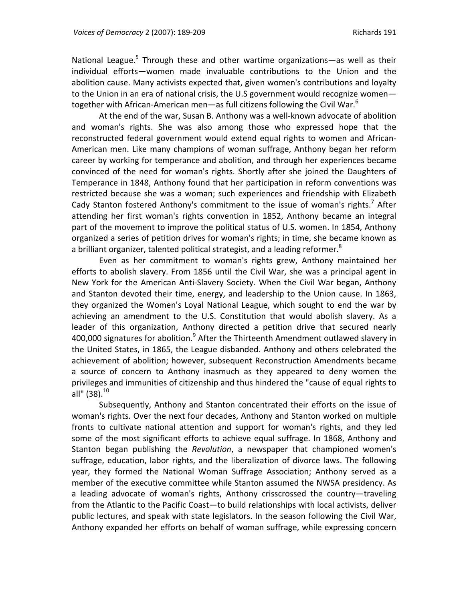National League.<sup>5</sup> Through these and other wartime organizations—as well as their individual efforts—women made invaluable contributions to the Union and the abolition cause. Many activists expected that, given women's contributions and loyalty to the Union in an era of national crisis, the U.S government would recognize women together with African-American men—as full citizens following the Civil War. $^6$ 

At the end of the war, Susan B. Anthony was a well‐known advocate of abolition and woman's rights. She was also among those who expressed hope that the reconstructed federal government would extend equal rights to women and African‐ American men. Like many champions of woman suffrage, Anthony began her reform career by working for temperance and abolition, and through her experiences became convinced of the need for woman's rights. Shortly after she joined the Daughters of Temperance in 1848, Anthony found that her participation in reform conventions was restricted because she was a woman; such experiences and friendship with Elizabeth Cady Stanton fostered Anthony's commitment to the issue of woman's rights.<sup>7</sup> After attending her first woman's rights convention in 1852, Anthony became an integral part of the movement to improve the political status of U.S. women. In 1854, Anthony organized a series of petition drives for woman's rights; in time, she became known as a brilliant organizer, talented political strategist, and a leading reformer.<sup>8</sup>

Even as her commitment to woman's rights grew, Anthony maintained her efforts to abolish slavery. From 1856 until the Civil War, she was a principal agent in New York for the American Anti‐Slavery Society. When the Civil War began, Anthony and Stanton devoted their time, energy, and leadership to the Union cause. In 1863, they organized the Women's Loyal National League, which sought to end the war by achieving an amendment to the U.S. Constitution that would abolish slavery. As a leader of this organization, Anthony directed a petition drive that secured nearly 400,000 signatures for abolition. $9$  After the Thirteenth Amendment outlawed slavery in the United States, in 1865, the League disbanded. Anthony and others celebrated the achievement of abolition; however, subsequent Reconstruction Amendments became a source of concern to Anthony inasmuch as they appeared to deny women the privileges and immunities of citizenship and thus hindered the "cause of equal rights to all" (38). $^{10}$ 

Subsequently, Anthony and Stanton concentrated their efforts on the issue of woman's rights. Over the next four decades, Anthony and Stanton worked on multiple fronts to cultivate national attention and support for woman's rights, and they led some of the most significant efforts to achieve equal suffrage. In 1868, Anthony and Stanton began publishing the *Revolution*, a newspaper that championed women's suffrage, education, labor rights, and the liberalization of divorce laws. The following year, they formed the National Woman Suffrage Association; Anthony served as a member of the executive committee while Stanton assumed the NWSA presidency. As a leading advocate of woman's rights, Anthony crisscrossed the country—traveling from the Atlantic to the Pacific Coast—to build relationships with local activists, deliver public lectures, and speak with state legislators. In the season following the Civil War, Anthony expanded her efforts on behalf of woman suffrage, while expressing concern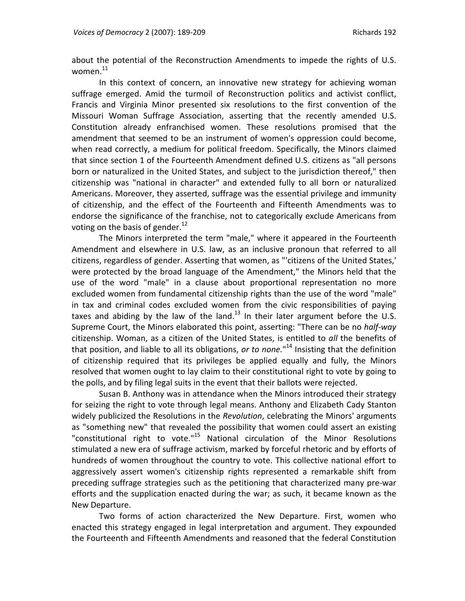about the potential of the Reconstruction Amendments to impede the rights of U.S. women.<sup>11</sup>

In this context of concern, an innovative new strategy for achieving woman suffrage emerged. Amid the turmoil of Reconstruction politics and activist conflict, Francis and Virginia Minor presented six resolutions to the first convention of the Missouri Woman Suffrage Association, asserting that the recently amended U.S. Constitution already enfranchised women. These resolutions promised that the amendment that seemed to be an instrument of women's oppression could become, when read correctly, a medium for political freedom. Specifically, the Minors claimed that since section 1 of the Fourteenth Amendment defined U.S. citizens as "all persons born or naturalized in the United States, and subject to the jurisdiction thereof," then citizenship was "national in character" and extended fully to all born or naturalized Americans. Moreover, they asserted, suffrage was the essential privilege and immunity of citizenship, and the effect of the Fourteenth and Fifteenth Amendments was to endorse the significance of the franchise, not to categorically exclude Americans from voting on the basis of gender. $^{12}$ 

The Minors interpreted the term "male," where it appeared in the Fourteenth Amendment and elsewhere in U.S. law, as an inclusive pronoun that referred to all citizens, regardless of gender. Asserting that women, as "'citizens of the United States,' were protected by the broad language of the Amendment," the Minors held that the use of the word "male" in a clause about proportional representation no more excluded women from fundamental citizenship rights than the use of the word "male" in tax and criminal codes excluded women from the civic responsibilities of paying taxes and abiding by the law of the land.<sup>13</sup> In their later argument before the U.S. Supreme Court, the Minors elaborated this point, asserting: "There can be no *half‐way* citizenship. Woman, as a citizen of the United States, is entitled to *all* the benefits of that position, and liable to all its obligations, *or to none.*" <sup>14</sup> Insisting that the definition of citizenship required that its privileges be applied equally and fully, the Minors resolved that women ought to lay claim to their constitutional right to vote by going to the polls, and by filing legal suits in the event that their ballots were rejected.

Susan B. Anthony was in attendance when the Minors introduced their strategy for seizing the right to vote through legal means. Anthony and Elizabeth Cady Stanton widely publicized the Resolutions in the *Revolution*, celebrating the Minors' arguments as "something new" that revealed the possibility that women could assert an existing "constitutional right to vote."<sup>15</sup> National circulation of the Minor Resolutions stimulated a new era of suffrage activism, marked by forceful rhetoric and by efforts of hundreds of women throughout the country to vote. This collective national effort to aggressively assert women's citizenship rights represented a remarkable shift from preceding suffrage strategies such as the petitioning that characterized many pre‐war efforts and the supplication enacted during the war; as such, it became known as the New Departure.

Two forms of action characterized the New Departure. First, women who enacted this strategy engaged in legal interpretation and argument. They expounded the Fourteenth and Fifteenth Amendments and reasoned that the federal Constitution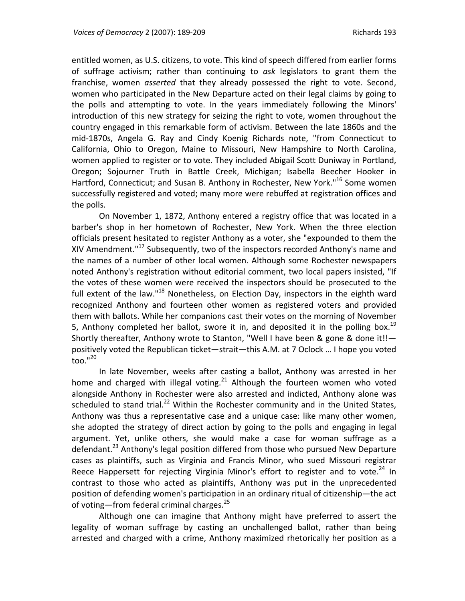entitled women, as U.S. citizens, to vote. This kind of speech differed from earlier forms of suffrage activism; rather than continuing to *ask* legislators to grant them the franchise, women *asserted* that they already possessed the right to vote. Second, women who participated in the New Departure acted on their legal claims by going to the polls and attempting to vote. In the years immediately following the Minors' introduction of this new strategy for seizing the right to vote, women throughout the country engaged in this remarkable form of activism. Between the late 1860s and the mid‐1870s, Angela G. Ray and Cindy Koenig Richards note, "from Connecticut to California, Ohio to Oregon, Maine to Missouri, New Hampshire to North Carolina, women applied to register or to vote. They included Abigail Scott Duniway in Portland, Oregon; Sojourner Truth in Battle Creek, Michigan; Isabella Beecher Hooker in Hartford, Connecticut; and Susan B. Anthony in Rochester, New York."<sup>16</sup> Some women successfully registered and voted; many more were rebuffed at registration offices and the polls.

On November 1, 1872, Anthony entered a registry office that was located in a barber's shop in her hometown of Rochester, New York. When the three election officials present hesitated to register Anthony as a voter, she "expounded to them the XIV Amendment."<sup>17</sup> Subsequently, two of the inspectors recorded Anthony's name and the names of a number of other local women. Although some Rochester newspapers noted Anthony's registration without editorial comment, two local papers insisted, "If the votes of these women were received the inspectors should be prosecuted to the full extent of the law."<sup>18</sup> Nonetheless, on Election Day, inspectors in the eighth ward recognized Anthony and fourteen other women as registered voters and provided them with ballots. While her companions cast their votes on the morning of November 5, Anthony completed her ballot, swore it in, and deposited it in the polling box.<sup>19</sup> Shortly thereafter, Anthony wrote to Stanton, "Well I have been & gone & done it!! positively voted the Republican ticket—strait—this A.M. at 7 Oclock … I hope you voted too." $^{20}$ 

In late November, weeks after casting a ballot, Anthony was arrested in her home and charged with illegal voting. $21$  Although the fourteen women who voted alongside Anthony in Rochester were also arrested and indicted, Anthony alone was scheduled to stand trial. $^{22}$  Within the Rochester community and in the United States, Anthony was thus a representative case and a unique case: like many other women, she adopted the strategy of direct action by going to the polls and engaging in legal argument. Yet, unlike others, she would make a case for woman suffrage as a defendant.<sup>23</sup> Anthony's legal position differed from those who pursued New Departure cases as plaintiffs, such as Virginia and Francis Minor, who sued Missouri registrar Reece Happersett for rejecting Virginia Minor's effort to register and to vote. $^{24}$  In contrast to those who acted as plaintiffs, Anthony was put in the unprecedented position of defending women's participation in an ordinary ritual of citizenship—the act of voting—from federal criminal charges.<sup>25</sup>

Although one can imagine that Anthony might have preferred to assert the legality of woman suffrage by casting an unchallenged ballot, rather than being arrested and charged with a crime, Anthony maximized rhetorically her position as a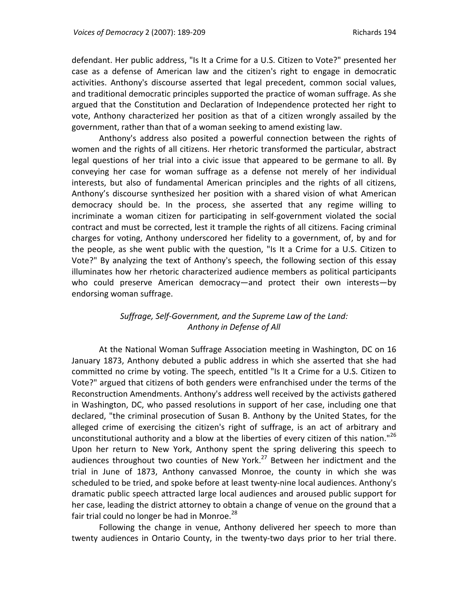defendant. Her public address, "Is It a Crime for a U.S. Citizen to Vote?" presented her case as a defense of American law and the citizen's right to engage in democratic activities. Anthony's discourse asserted that legal precedent, common social values, and traditional democratic principles supported the practice of woman suffrage. As she argued that the Constitution and Declaration of Independence protected her right to vote, Anthony characterized her position as that of a citizen wrongly assailed by the government, rather than that of a woman seeking to amend existing law.

Anthony's address also posited a powerful connection between the rights of women and the rights of all citizens. Her rhetoric transformed the particular, abstract legal questions of her trial into a civic issue that appeared to be germane to all. By conveying her case for woman suffrage as a defense not merely of her individual interests, but also of fundamental American principles and the rights of all citizens, Anthony's discourse synthesized her position with a shared vision of what American democracy should be. In the process, she asserted that any regime willing to incriminate a woman citizen for participating in self‐government violated the social contract and must be corrected, lest it trample the rights of all citizens. Facing criminal charges for voting, Anthony underscored her fidelity to a government, of, by and for the people, as she went public with the question, "Is It a Crime for a U.S. Citizen to Vote?" By analyzing the text of Anthony's speech, the following section of this essay illuminates how her rhetoric characterized audience members as political participants who could preserve American democracy—and protect their own interests—by endorsing woman suffrage.

# *Suffrage, Self‐Government, and the Supreme Law of the Land: Anthony in Defense of All*

At the National Woman Suffrage Association meeting in Washington, DC on 16 January 1873, Anthony debuted a public address in which she asserted that she had committed no crime by voting. The speech, entitled "Is It a Crime for a U.S. Citizen to Vote?" argued that citizens of both genders were enfranchised under the terms of the Reconstruction Amendments. Anthony's address well received by the activists gathered in Washington, DC, who passed resolutions in support of her case, including one that declared, "the criminal prosecution of Susan B. Anthony by the United States, for the alleged crime of exercising the citizen's right of suffrage, is an act of arbitrary and unconstitutional authority and a blow at the liberties of every citizen of this nation." $^{26}$ Upon her return to New York, Anthony spent the spring delivering this speech to audiences throughout two counties of New York. $27$  Between her indictment and the trial in June of 1873, Anthony canvassed Monroe, the county in which she was scheduled to be tried, and spoke before at least twenty‐nine local audiences. Anthony's dramatic public speech attracted large local audiences and aroused public support for her case, leading the district attorney to obtain a change of venue on the ground that a fair trial could no longer be had in Monroe. $^{28}$ 

Following the change in venue, Anthony delivered her speech to more than twenty audiences in Ontario County, in the twenty-two days prior to her trial there.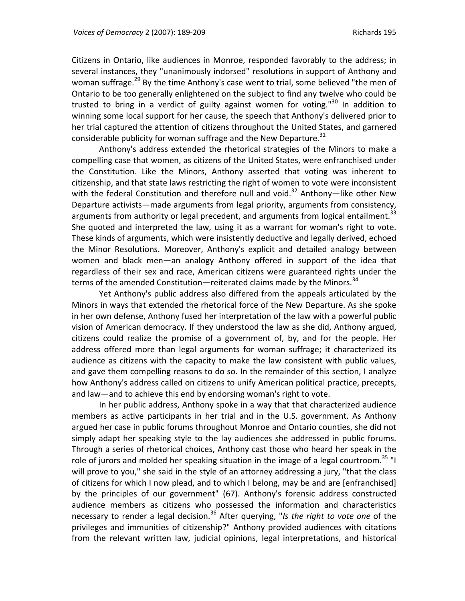Citizens in Ontario, like audiences in Monroe, responded favorably to the address; in several instances, they "unanimously indorsed" resolutions in support of Anthony and woman suffrage.<sup>29</sup> By the time Anthony's case went to trial, some believed "the men of Ontario to be too generally enlightened on the subject to find any twelve who could be trusted to bring in a verdict of guilty against women for voting."<sup>30</sup> In addition to winning some local support for her cause, the speech that Anthony's delivered prior to her trial captured the attention of citizens throughout the United States, and garnered considerable publicity for woman suffrage and the New Departure. $31$ 

Anthony's address extended the rhetorical strategies of the Minors to make a compelling case that women, as citizens of the United States, were enfranchised under the Constitution. Like the Minors, Anthony asserted that voting was inherent to citizenship, and that state laws restricting the right of women to vote were inconsistent with the federal Constitution and therefore null and void.<sup>32</sup> Anthony—like other New Departure activists—made arguments from legal priority, arguments from consistency, arguments from authority or legal precedent, and arguments from logical entailment.<sup>33</sup> She quoted and interpreted the law, using it as a warrant for woman's right to vote. These kinds of arguments, which were insistently deductive and legally derived, echoed the Minor Resolutions. Moreover, Anthony's explicit and detailed analogy between women and black men—an analogy Anthony offered in support of the idea that regardless of their sex and race, American citizens were guaranteed rights under the terms of the amended Constitution—reiterated claims made by the Minors. $34$ 

Yet Anthony's public address also differed from the appeals articulated by the Minors in ways that extended the rhetorical force of the New Departure. As she spoke in her own defense, Anthony fused her interpretation of the law with a powerful public vision of American democracy. If they understood the law as she did, Anthony argued, citizens could realize the promise of a government of, by, and for the people. Her address offered more than legal arguments for woman suffrage; it characterized its audience as citizens with the capacity to make the law consistent with public values, and gave them compelling reasons to do so. In the remainder of this section, I analyze how Anthony's address called on citizens to unify American political practice, precepts, and law—and to achieve this end by endorsing woman's right to vote.

In her public address, Anthony spoke in a way that that characterized audience members as active participants in her trial and in the U.S. government. As Anthony argued her case in public forums throughout Monroe and Ontario counties, she did not simply adapt her speaking style to the lay audiences she addressed in public forums. Through a series of rhetorical choices, Anthony cast those who heard her speak in the role of jurors and molded her speaking situation in the image of a legal courtroom.<sup>35</sup> "I will prove to you," she said in the style of an attorney addressing a jury, "that the class of citizens for which I now plead, and to which I belong, may be and are [enfranchised] by the principles of our government" (67). Anthony's forensic address constructed audience members as citizens who possessed the information and characteristics necessary to render a legal decision.<sup>36</sup> After querying, "*Is the right to vote one* of the privileges and immunities of citizenship?" Anthony provided audiences with citations from the relevant written law, judicial opinions, legal interpretations, and historical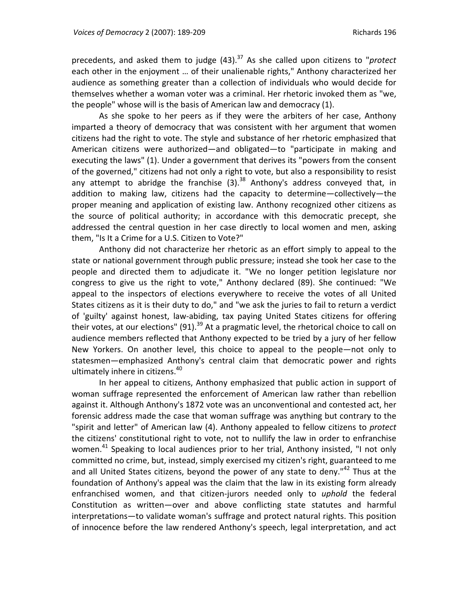precedents, and asked them to judge (43).37 As she called upon citizens to "*protect* each other in the enjoyment … of their unalienable rights," Anthony characterized her audience as something greater than a collection of individuals who would decide for themselves whether a woman voter was a criminal. Her rhetoric invoked them as "we, the people" whose will is the basis of American law and democracy (1).

As she spoke to her peers as if they were the arbiters of her case, Anthony imparted a theory of democracy that was consistent with her argument that women citizens had the right to vote. The style and substance of her rhetoric emphasized that American citizens were authorized—and obligated—to "participate in making and executing the laws" (1). Under a government that derives its "powers from the consent of the governed," citizens had not only a right to vote, but also a responsibility to resist any attempt to abridge the franchise  $(3).$ <sup>38</sup> Anthony's address conveyed that, in addition to making law, citizens had the capacity to determine—collectively—the proper meaning and application of existing law. Anthony recognized other citizens as the source of political authority; in accordance with this democratic precept, she addressed the central question in her case directly to local women and men, asking them, "Is It a Crime for a U.S. Citizen to Vote?"

Anthony did not characterize her rhetoric as an effort simply to appeal to the state or national government through public pressure; instead she took her case to the people and directed them to adjudicate it. "We no longer petition legislature nor congress to give us the right to vote," Anthony declared (89). She continued: "We appeal to the inspectors of elections everywhere to receive the votes of all United States citizens as it is their duty to do," and "we ask the juries to fail to return a verdict of 'guilty' against honest, law‐abiding, tax paying United States citizens for offering their votes, at our elections" (91).<sup>39</sup> At a pragmatic level, the rhetorical choice to call on audience members reflected that Anthony expected to be tried by a jury of her fellow New Yorkers. On another level, this choice to appeal to the people—not only to statesmen—emphasized Anthony's central claim that democratic power and rights ultimately inhere in citizens.<sup>40</sup>

In her appeal to citizens, Anthony emphasized that public action in support of woman suffrage represented the enforcement of American law rather than rebellion against it. Although Anthony's 1872 vote was an unconventional and contested act, her forensic address made the case that woman suffrage was anything but contrary to the "spirit and letter" of American law (4). Anthony appealed to fellow citizens to *protect* the citizens' constitutional right to vote, not to nullify the law in order to enfranchise women.<sup>41</sup> Speaking to local audiences prior to her trial, Anthony insisted, "I not only committed no crime, but, instead, simply exercised my citizen's right, guaranteed to me and all United States citizens, beyond the power of any state to deny."<sup>42</sup> Thus at the foundation of Anthony's appeal was the claim that the law in its existing form already enfranchised women, and that citizen‐jurors needed only to *uphold* the federal Constitution as written—over and above conflicting state statutes and harmful interpretations—to validate woman's suffrage and protect natural rights. This position of innocence before the law rendered Anthony's speech, legal interpretation, and act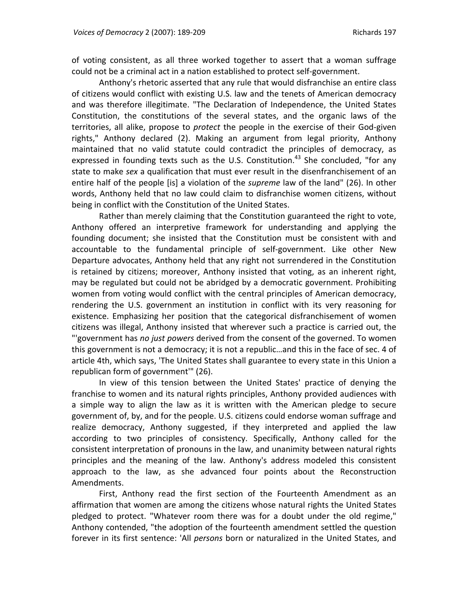of voting consistent, as all three worked together to assert that a woman suffrage could not be a criminal act in a nation established to protect self‐government.

Anthony's rhetoric asserted that any rule that would disfranchise an entire class of citizens would conflict with existing U.S. law and the tenets of American democracy and was therefore illegitimate. "The Declaration of Independence, the United States Constitution, the constitutions of the several states, and the organic laws of the territories, all alike, propose to *protect* the people in the exercise of their God‐given rights," Anthony declared (2). Making an argument from legal priority, Anthony maintained that no valid statute could contradict the principles of democracy, as expressed in founding texts such as the U.S. Constitution.<sup>43</sup> She concluded, "for any state to make *sex* a qualification that must ever result in the disenfranchisement of an entire half of the people [is] a violation of the *supreme* law of the land" (26). In other words, Anthony held that no law could claim to disfranchise women citizens, without being in conflict with the Constitution of the United States.

Rather than merely claiming that the Constitution guaranteed the right to vote, Anthony offered an interpretive framework for understanding and applying the founding document; she insisted that the Constitution must be consistent with and accountable to the fundamental principle of self‐government. Like other New Departure advocates, Anthony held that any right not surrendered in the Constitution is retained by citizens; moreover, Anthony insisted that voting, as an inherent right, may be regulated but could not be abridged by a democratic government. Prohibiting women from voting would conflict with the central principles of American democracy, rendering the U.S. government an institution in conflict with its very reasoning for existence. Emphasizing her position that the categorical disfranchisement of women citizens was illegal, Anthony insisted that wherever such a practice is carried out, the "'government has *no just powers* derived from the consent of the governed. To women this government is not a democracy; it is not a republic…and this in the face of sec. 4 of article 4th, which says, 'The United States shall guarantee to every state in this Union a republican form of government'" (26).

In view of this tension between the United States' practice of denying the franchise to women and its natural rights principles, Anthony provided audiences with a simple way to align the law as it is written with the American pledge to secure government of, by, and for the people. U.S. citizens could endorse woman suffrage and realize democracy, Anthony suggested, if they interpreted and applied the law according to two principles of consistency. Specifically, Anthony called for the consistent interpretation of pronouns in the law, and unanimity between natural rights principles and the meaning of the law. Anthony's address modeled this consistent approach to the law, as she advanced four points about the Reconstruction Amendments.

First, Anthony read the first section of the Fourteenth Amendment as an affirmation that women are among the citizens whose natural rights the United States pledged to protect. "Whatever room there was for a doubt under the old regime," Anthony contended, "the adoption of the fourteenth amendment settled the question forever in its first sentence: 'All *persons* born or naturalized in the United States, and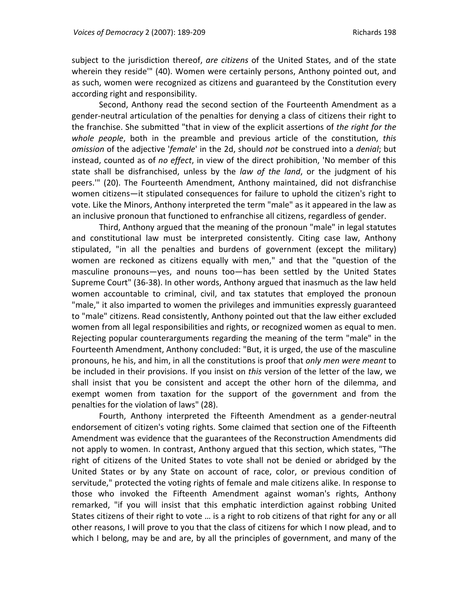subject to the jurisdiction thereof, *are citizens* of the United States, and of the state wherein they reside'" (40). Women were certainly persons, Anthony pointed out, and as such, women were recognized as citizens and guaranteed by the Constitution every according right and responsibility.

Second, Anthony read the second section of the Fourteenth Amendment as a gender‐neutral articulation of the penalties for denying a class of citizens their right to the franchise. She submitted "that in view of the explicit assertions of *the right for the whole people*, both in the preamble and previous article of the constitution, *this omission* of the adjective '*female*' in the 2d, should *not* be construed into a *denial*; but instead, counted as of *no effect*, in view of the direct prohibition, 'No member of this state shall be disfranchised, unless by the *law of the land*, or the judgment of his peers.'" (20). The Fourteenth Amendment, Anthony maintained, did not disfranchise women citizens—it stipulated consequences for failure to uphold the citizen's right to vote. Like the Minors, Anthony interpreted the term "male" as it appeared in the law as an inclusive pronoun that functioned to enfranchise all citizens, regardless of gender.

Third, Anthony argued that the meaning of the pronoun "male" in legal statutes and constitutional law must be interpreted consistently. Citing case law, Anthony stipulated, "in all the penalties and burdens of government (except the military) women are reckoned as citizens equally with men," and that the "question of the masculine pronouns—yes, and nouns too—has been settled by the United States Supreme Court" (36‐38). In other words, Anthony argued that inasmuch as the law held women accountable to criminal, civil, and tax statutes that employed the pronoun "male," it also imparted to women the privileges and immunities expressly guaranteed to "male" citizens. Read consistently, Anthony pointed out that the law either excluded women from all legal responsibilities and rights, or recognized women as equal to men. Rejecting popular counterarguments regarding the meaning of the term "male" in the Fourteenth Amendment, Anthony concluded: "But, it is urged, the use of the masculine pronouns, he his, and him, in all the constitutions is proof that *only men were meant* to be included in their provisions. If you insist on *this* version of the letter of the law, we shall insist that you be consistent and accept the other horn of the dilemma, and exempt women from taxation for the support of the government and from the penalties for the violation of laws" (28).

Fourth, Anthony interpreted the Fifteenth Amendment as a gender‐neutral endorsement of citizen's voting rights. Some claimed that section one of the Fifteenth Amendment was evidence that the guarantees of the Reconstruction Amendments did not apply to women. In contrast, Anthony argued that this section, which states, "The right of citizens of the United States to vote shall not be denied or abridged by the United States or by any State on account of race, color, or previous condition of servitude," protected the voting rights of female and male citizens alike. In response to those who invoked the Fifteenth Amendment against woman's rights, Anthony remarked, "if you will insist that this emphatic interdiction against robbing United States citizens of their right to vote … is a right to rob citizens of that right for any or all other reasons, I will prove to you that the class of citizens for which I now plead, and to which I belong, may be and are, by all the principles of government, and many of the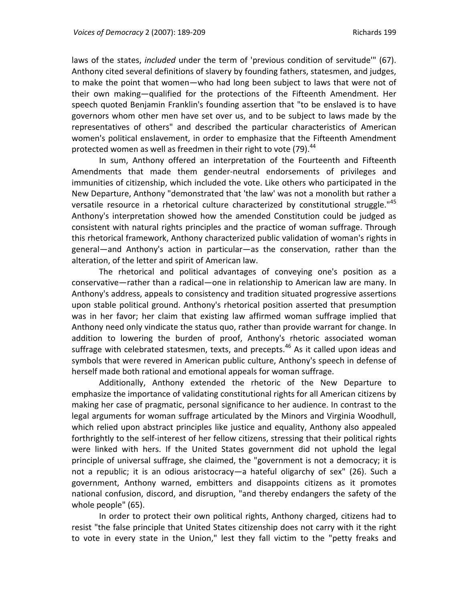laws of the states, *included* under the term of 'previous condition of servitude'" (67). Anthony cited several definitions of slavery by founding fathers, statesmen, and judges, to make the point that women—who had long been subject to laws that were not of their own making—qualified for the protections of the Fifteenth Amendment. Her speech quoted Benjamin Franklin's founding assertion that "to be enslaved is to have governors whom other men have set over us, and to be subject to laws made by the representatives of others" and described the particular characteristics of American women's political enslavement, in order to emphasize that the Fifteenth Amendment protected women as well as freedmen in their right to vote  $(79)$ .<sup>44</sup>

In sum, Anthony offered an interpretation of the Fourteenth and Fifteenth Amendments that made them gender‐neutral endorsements of privileges and immunities of citizenship, which included the vote. Like others who participated in the New Departure, Anthony "demonstrated that 'the law' was not a monolith but rather a versatile resource in a rhetorical culture characterized by constitutional struggle."<sup>45</sup> Anthony's interpretation showed how the amended Constitution could be judged as consistent with natural rights principles and the practice of woman suffrage. Through this rhetorical framework, Anthony characterized public validation of woman's rights in general—and Anthony's action in particular—as the conservation, rather than the alteration, of the letter and spirit of American law.

The rhetorical and political advantages of conveying one's position as a conservative—rather than a radical—one in relationship to American law are many. In Anthony's address, appeals to consistency and tradition situated progressive assertions upon stable political ground. Anthony's rhetorical position asserted that presumption was in her favor; her claim that existing law affirmed woman suffrage implied that Anthony need only vindicate the status quo, rather than provide warrant for change. In addition to lowering the burden of proof, Anthony's rhetoric associated woman suffrage with celebrated statesmen, texts, and precepts.<sup>46</sup> As it called upon ideas and symbols that were revered in American public culture, Anthony's speech in defense of herself made both rational and emotional appeals for woman suffrage.

Additionally, Anthony extended the rhetoric of the New Departure to emphasize the importance of validating constitutional rights for all American citizens by making her case of pragmatic, personal significance to her audience. In contrast to the legal arguments for woman suffrage articulated by the Minors and Virginia Woodhull, which relied upon abstract principles like justice and equality, Anthony also appealed forthrightly to the self-interest of her fellow citizens, stressing that their political rights were linked with hers. If the United States government did not uphold the legal principle of universal suffrage, she claimed, the "government is not a democracy; it is not a republic; it is an odious aristocracy—a hateful oligarchy of sex" (26). Such a government, Anthony warned, embitters and disappoints citizens as it promotes national confusion, discord, and disruption, "and thereby endangers the safety of the whole people" (65).

In order to protect their own political rights, Anthony charged, citizens had to resist "the false principle that United States citizenship does not carry with it the right to vote in every state in the Union," lest they fall victim to the "petty freaks and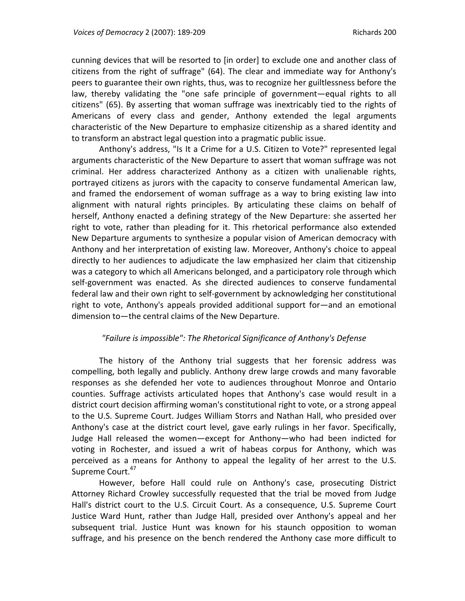cunning devices that will be resorted to [in order] to exclude one and another class of citizens from the right of suffrage" (64). The clear and immediate way for Anthony's peers to guarantee their own rights, thus, was to recognize her guiltlessness before the law, thereby validating the "one safe principle of government—equal rights to all citizens" (65). By asserting that woman suffrage was inextricably tied to the rights of Americans of every class and gender, Anthony extended the legal arguments characteristic of the New Departure to emphasize citizenship as a shared identity and to transform an abstract legal question into a pragmatic public issue.

Anthony's address, "Is It a Crime for a U.S. Citizen to Vote?" represented legal arguments characteristic of the New Departure to assert that woman suffrage was not criminal. Her address characterized Anthony as a citizen with unalienable rights, portrayed citizens as jurors with the capacity to conserve fundamental American law, and framed the endorsement of woman suffrage as a way to bring existing law into alignment with natural rights principles. By articulating these claims on behalf of herself, Anthony enacted a defining strategy of the New Departure: she asserted her right to vote, rather than pleading for it. This rhetorical performance also extended New Departure arguments to synthesize a popular vision of American democracy with Anthony and her interpretation of existing law. Moreover, Anthony's choice to appeal directly to her audiences to adjudicate the law emphasized her claim that citizenship was a category to which all Americans belonged, and a participatory role through which self‐government was enacted. As she directed audiences to conserve fundamental federal law and their own right to self‐government by acknowledging her constitutional right to vote, Anthony's appeals provided additional support for—and an emotional dimension to—the central claims of the New Departure.

## *"Failure is impossible": The Rhetorical Significance of Anthony's Defense*

The history of the Anthony trial suggests that her forensic address was compelling, both legally and publicly. Anthony drew large crowds and many favorable responses as she defended her vote to audiences throughout Monroe and Ontario counties. Suffrage activists articulated hopes that Anthony's case would result in a district court decision affirming woman's constitutional right to vote, or a strong appeal to the U.S. Supreme Court. Judges William Storrs and Nathan Hall, who presided over Anthony's case at the district court level, gave early rulings in her favor. Specifically, Judge Hall released the women—except for Anthony—who had been indicted for voting in Rochester, and issued a writ of habeas corpus for Anthony, which was perceived as a means for Anthony to appeal the legality of her arrest to the U.S. Supreme Court.<sup>47</sup>

However, before Hall could rule on Anthony's case, prosecuting District Attorney Richard Crowley successfully requested that the trial be moved from Judge Hall's district court to the U.S. Circuit Court. As a consequence, U.S. Supreme Court Justice Ward Hunt, rather than Judge Hall, presided over Anthony's appeal and her subsequent trial. Justice Hunt was known for his staunch opposition to woman suffrage, and his presence on the bench rendered the Anthony case more difficult to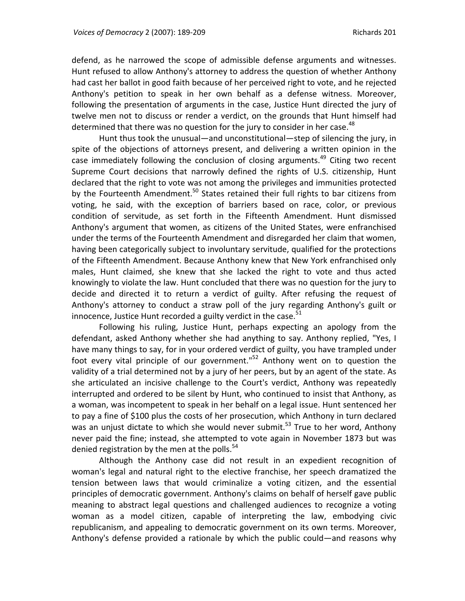defend, as he narrowed the scope of admissible defense arguments and witnesses. Hunt refused to allow Anthony's attorney to address the question of whether Anthony had cast her ballot in good faith because of her perceived right to vote, and he rejected Anthony's petition to speak in her own behalf as a defense witness. Moreover, following the presentation of arguments in the case, Justice Hunt directed the jury of twelve men not to discuss or render a verdict, on the grounds that Hunt himself had determined that there was no question for the jury to consider in her case.<sup>48</sup>

Hunt thus took the unusual—and unconstitutional—step of silencing the jury, in spite of the objections of attorneys present, and delivering a written opinion in the case immediately following the conclusion of closing arguments.<sup>49</sup> Citing two recent Supreme Court decisions that narrowly defined the rights of U.S. citizenship, Hunt declared that the right to vote was not among the privileges and immunities protected by the Fourteenth Amendment.<sup>50</sup> States retained their full rights to bar citizens from voting, he said, with the exception of barriers based on race, color, or previous condition of servitude, as set forth in the Fifteenth Amendment. Hunt dismissed Anthony's argument that women, as citizens of the United States, were enfranchised under the terms of the Fourteenth Amendment and disregarded her claim that women, having been categorically subject to involuntary servitude, qualified for the protections of the Fifteenth Amendment. Because Anthony knew that New York enfranchised only males, Hunt claimed, she knew that she lacked the right to vote and thus acted knowingly to violate the law. Hunt concluded that there was no question for the jury to decide and directed it to return a verdict of guilty. After refusing the request of Anthony's attorney to conduct a straw poll of the jury regarding Anthony's guilt or innocence, Justice Hunt recorded a guilty verdict in the case. $51$ 

Following his ruling, Justice Hunt, perhaps expecting an apology from the defendant, asked Anthony whether she had anything to say. Anthony replied, "Yes, I have many things to say, for in your ordered verdict of guilty, you have trampled under foot every vital principle of our government."<sup>52</sup> Anthony went on to question the validity of a trial determined not by a jury of her peers, but by an agent of the state. As she articulated an incisive challenge to the Court's verdict, Anthony was repeatedly interrupted and ordered to be silent by Hunt, who continued to insist that Anthony, as a woman, was incompetent to speak in her behalf on a legal issue. Hunt sentenced her to pay a fine of \$100 plus the costs of her prosecution, which Anthony in turn declared was an unjust dictate to which she would never submit.<sup>53</sup> True to her word, Anthony never paid the fine; instead, she attempted to vote again in November 1873 but was denied registration by the men at the polls.<sup>54</sup>

Although the Anthony case did not result in an expedient recognition of woman's legal and natural right to the elective franchise, her speech dramatized the tension between laws that would criminalize a voting citizen, and the essential principles of democratic government. Anthony's claims on behalf of herself gave public meaning to abstract legal questions and challenged audiences to recognize a voting woman as a model citizen, capable of interpreting the law, embodying civic republicanism, and appealing to democratic government on its own terms. Moreover, Anthony's defense provided a rationale by which the public could—and reasons why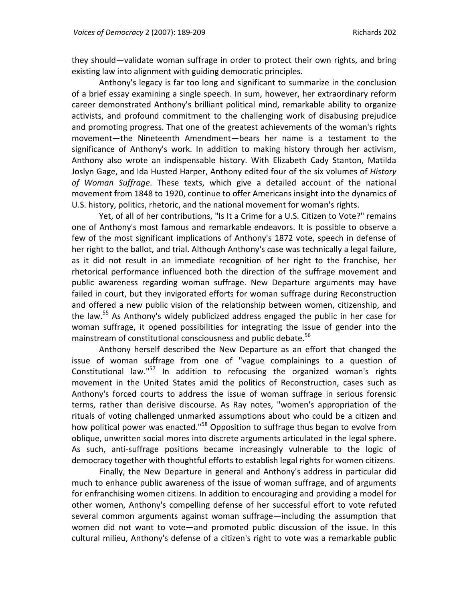they should—validate woman suffrage in order to protect their own rights, and bring existing law into alignment with guiding democratic principles.

Anthony's legacy is far too long and significant to summarize in the conclusion of a brief essay examining a single speech. In sum, however, her extraordinary reform career demonstrated Anthony's brilliant political mind, remarkable ability to organize activists, and profound commitment to the challenging work of disabusing prejudice and promoting progress. That one of the greatest achievements of the woman's rights movement—the Nineteenth Amendment—bears her name is a testament to the significance of Anthony's work. In addition to making history through her activism, Anthony also wrote an indispensable history. With Elizabeth Cady Stanton, Matilda Joslyn Gage, and Ida Husted Harper, Anthony edited four of the six volumes of *History of Woman Suffrage*. These texts, which give a detailed account of the national movement from 1848 to 1920, continue to offer Americans insight into the dynamics of U.S. history, politics, rhetoric, and the national movement for woman's rights.

Yet, of all of her contributions, "Is It a Crime for a U.S. Citizen to Vote?" remains one of Anthony's most famous and remarkable endeavors. It is possible to observe a few of the most significant implications of Anthony's 1872 vote, speech in defense of her right to the ballot, and trial. Although Anthony's case was technically a legal failure, as it did not result in an immediate recognition of her right to the franchise, her rhetorical performance influenced both the direction of the suffrage movement and public awareness regarding woman suffrage. New Departure arguments may have failed in court, but they invigorated efforts for woman suffrage during Reconstruction and offered a new public vision of the relationship between women, citizenship, and the law.<sup>55</sup> As Anthony's widely publicized address engaged the public in her case for woman suffrage, it opened possibilities for integrating the issue of gender into the mainstream of constitutional consciousness and public debate.<sup>56</sup>

Anthony herself described the New Departure as an effort that changed the issue of woman suffrage from one of "vague complainings to a question of Constitutional law."<sup>57</sup> In addition to refocusing the organized woman's rights movement in the United States amid the politics of Reconstruction, cases such as Anthony's forced courts to address the issue of woman suffrage in serious forensic terms, rather than derisive discourse. As Ray notes, "women's appropriation of the rituals of voting challenged unmarked assumptions about who could be a citizen and how political power was enacted."<sup>58</sup> Opposition to suffrage thus began to evolve from oblique, unwritten social mores into discrete arguments articulated in the legal sphere. As such, anti‐suffrage positions became increasingly vulnerable to the logic of democracy together with thoughtful efforts to establish legal rights for women citizens.

Finally, the New Departure in general and Anthony's address in particular did much to enhance public awareness of the issue of woman suffrage, and of arguments for enfranchising women citizens. In addition to encouraging and providing a model for other women, Anthony's compelling defense of her successful effort to vote refuted several common arguments against woman suffrage—including the assumption that women did not want to vote—and promoted public discussion of the issue. In this cultural milieu, Anthony's defense of a citizen's right to vote was a remarkable public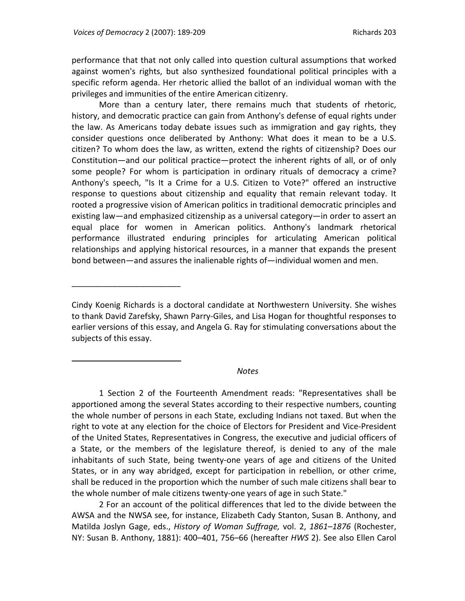\_\_\_\_\_\_\_\_\_\_\_\_\_\_\_\_\_\_\_\_\_\_\_\_

 $\overline{a}$ 

performance that that not only called into question cultural assumptions that worked against women's rights, but also synthesized foundational political principles with a specific reform agenda. Her rhetoric allied the ballot of an individual woman with the privileges and immunities of the entire American citizenry.

More than a century later, there remains much that students of rhetoric, history, and democratic practice can gain from Anthony's defense of equal rights under the law. As Americans today debate issues such as immigration and gay rights, they consider questions once deliberated by Anthony: What does it mean to be a U.S. citizen? To whom does the law, as written, extend the rights of citizenship? Does our Constitution—and our political practice—protect the inherent rights of all, or of only some people? For whom is participation in ordinary rituals of democracy a crime? Anthony's speech, "Is It a Crime for a U.S. Citizen to Vote?" offered an instructive response to questions about citizenship and equality that remain relevant today. It rooted a progressive vision of American politics in traditional democratic principles and existing law—and emphasized citizenship as a universal category—in order to assert an equal place for women in American politics. Anthony's landmark rhetorical performance illustrated enduring principles for articulating American political relationships and applying historical resources, in a manner that expands the present bond between—and assures the inalienable rights of—individual women and men.

#### *Notes*

1 Section 2 of the Fourteenth Amendment reads: "Representatives shall be apportioned among the several States according to their respective numbers, counting the whole number of persons in each State, excluding Indians not taxed. But when the right to vote at any election for the choice of Electors for President and Vice‐President of the United States, Representatives in Congress, the executive and judicial officers of a State, or the members of the legislature thereof, is denied to any of the male inhabitants of such State, being twenty‐one years of age and citizens of the United States, or in any way abridged, except for participation in rebellion, or other crime, shall be reduced in the proportion which the number of such male citizens shall bear to the whole number of male citizens twenty‐one years of age in such State."

2 For an account of the political differences that led to the divide between the AWSA and the NWSA see, for instance, Elizabeth Cady Stanton, Susan B. Anthony, and Matilda Joslyn Gage, eds., *History of Woman Suffrage,* vol. 2, *1861–1876* (Rochester, NY: Susan B. Anthony, 1881): 400–401, 756–66 (hereafter *HWS* 2). See also Ellen Carol

Cindy Koenig Richards is a doctoral candidate at Northwestern University. She wishes to thank David Zarefsky, Shawn Parry‐Giles, and Lisa Hogan for thoughtful responses to earlier versions of this essay, and Angela G. Ray for stimulating conversations about the subjects of this essay.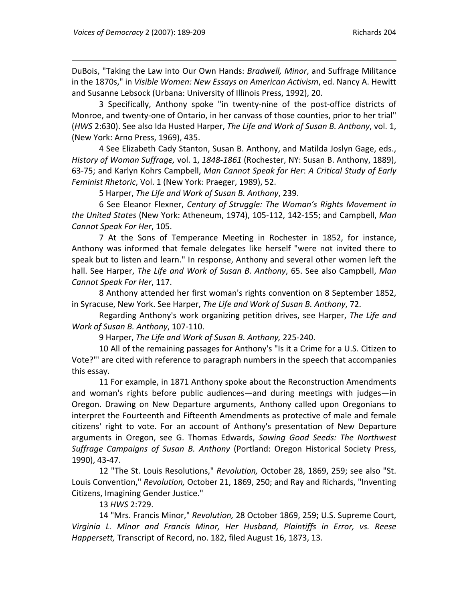DuBois, "Taking the Law into Our Own Hands: *Bradwell, Minor*, and Suffrage Militance in the 1870s," in *Visible Women: New Essays on American Activism*, ed. Nancy A. Hewitt and Susanne Lebsock (Urbana: University of Illinois Press, 1992), 20.

3 Specifically, Anthony spoke "in twenty‐nine of the post‐office districts of Monroe, and twenty-one of Ontario, in her canvass of those counties, prior to her trial" (*HWS* 2:630). See also Ida Husted Harper, *The Life and Work of Susan B. Anthony*, vol. 1, (New York: Arno Press, 1969), 435.

4 See Elizabeth Cady Stanton, Susan B. Anthony, and Matilda Joslyn Gage, eds., *History of Woman Suffrage,* vol. 1, *1848‐1861* (Rochester, NY: Susan B. Anthony, 1889), 63‐75; and Karlyn Kohrs Campbell, *Man Cannot Speak for Her*: *A Critical Study of Early Feminist Rhetoric*, Vol. 1 (New York: Praeger, 1989), 52.

5 Harper, *The Life and Work of Susan B. Anthony*, 239.

6 See Eleanor Flexner, *Century of Struggle: The Woman's Rights Movement in the United States* (New York: Atheneum, 1974), 105‐112, 142‐155; and Campbell, *Man Cannot Speak For Her*, 105.

7 At the Sons of Temperance Meeting in Rochester in 1852, for instance, Anthony was informed that female delegates like herself "were not invited there to speak but to listen and learn." In response, Anthony and several other women left the hall. See Harper, *The Life and Work of Susan B. Anthony*, 65. See also Campbell, *Man Cannot Speak For Her*, 117.

8 Anthony attended her first woman's rights convention on 8 September 1852, in Syracuse, New York. See Harper, *The Life and Work of Susan B. Anthony*, 72.

Regarding Anthony's work organizing petition drives, see Harper, *The Life and Work of Susan B. Anthony*, 107‐110.

9 Harper, *The Life and Work of Susan B. Anthony,* 225‐240.

10 All of the remaining passages for Anthony's "Is it a Crime for a U.S. Citizen to Vote?"' are cited with reference to paragraph numbers in the speech that accompanies this essay.

11 For example, in 1871 Anthony spoke about the Reconstruction Amendments and woman's rights before public audiences—and during meetings with judges—in Oregon. Drawing on New Departure arguments, Anthony called upon Oregonians to interpret the Fourteenth and Fifteenth Amendments as protective of male and female citizens' right to vote. For an account of Anthony's presentation of New Departure arguments in Oregon, see G. Thomas Edwards, *Sowing Good Seeds: The Northwest Suffrage Campaigns of Susan B. Anthony* (Portland: Oregon Historical Society Press, 1990), 43‐47.

12 "The St. Louis Resolutions," *Revolution,* October 28, 1869, 259; see also "St. Louis Convention," *Revolution,* October 21, 1869, 250; and Ray and Richards, "Inventing Citizens, Imagining Gender Justice."

13 *HWS* 2:729.

14 "Mrs. Francis Minor," *Revolution,* 28 October 1869, 259**;** U.S. Supreme Court, *Virginia L. Minor and Francis Minor, Her Husband, Plaintiffs in Error, vs. Reese Happersett,* Transcript of Record, no. 182, filed August 16, 1873, 13.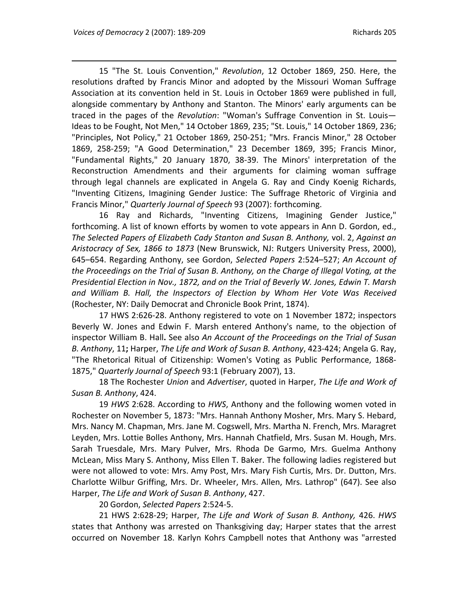15 "The St. Louis Convention," *Revolution*, 12 October 1869, 250. Here, the resolutions drafted by Francis Minor and adopted by the Missouri Woman Suffrage Association at its convention held in St. Louis in October 1869 were published in full, alongside commentary by Anthony and Stanton. The Minors' early arguments can be traced in the pages of the *Revolution*: "Woman's Suffrage Convention in St. Louis— Ideas to be Fought, Not Men," 14 October 1869, 235; "St. Louis," 14 October 1869, 236; "Principles, Not Policy," 21 October 1869, 250‐251; "Mrs. Francis Minor," 28 October 1869, 258‐259; "A Good Determination," 23 December 1869, 395; Francis Minor, "Fundamental Rights," 20 January 1870, 38‐39. The Minors' interpretation of the Reconstruction Amendments and their arguments for claiming woman suffrage through legal channels are explicated in Angela G. Ray and Cindy Koenig Richards, "Inventing Citizens, Imagining Gender Justice: The Suffrage Rhetoric of Virginia and Francis Minor," *Quarterly Journal of Speech* 93 (2007): forthcoming.

16 Ray and Richards, "Inventing Citizens, Imagining Gender Justice," forthcoming. A list of known efforts by women to vote appears in Ann D. Gordon, ed., *The Selected Papers of Elizabeth Cady Stanton and Susan B. Anthony,* vol. 2, *Against an Aristocracy of Sex, 1866 to 1873* (New Brunswick, NJ: Rutgers University Press, 2000), 645–654. Regarding Anthony, see Gordon, *Selected Papers* 2:524–527; *An Account of the Proceedings on the Trial of Susan B. Anthony, on the Charge of Illegal Voting, at the Presidential Election in Nov., 1872, and on the Trial of Beverly W. Jones, Edwin T. Marsh and William B. Hall, the Inspectors of Election by Whom Her Vote Was Received* (Rochester, NY: Daily Democrat and Chronicle Book Print, 1874).

17 HWS 2:626‐28. Anthony registered to vote on 1 November 1872; inspectors Beverly W. Jones and Edwin F. Marsh entered Anthony's name, to the objection of inspector William B. Hall**.** See also *An Account of the Proceedings on the Trial of Susan B. Anthony*, 11**;** Harper, *The Life and Work of Susan B. Anthony*, 423‐424; Angela G. Ray, "The Rhetorical Ritual of Citizenship: Women's Voting as Public Performance, 1868‐ 1875," *Quarterly Journal of Speech* 93:1 (February 2007), 13.

18 The Rochester *Union* and *Advertiser*, quoted in Harper, *The Life and Work of Susan B. Anthony*, 424.

19 *HWS* 2:628. According to *HWS*, Anthony and the following women voted in Rochester on November 5, 1873: "Mrs. Hannah Anthony Mosher, Mrs. Mary S. Hebard, Mrs. Nancy M. Chapman, Mrs. Jane M. Cogswell, Mrs. Martha N. French, Mrs. Maragret Leyden, Mrs. Lottie Bolles Anthony, Mrs. Hannah Chatfield, Mrs. Susan M. Hough, Mrs. Sarah Truesdale, Mrs. Mary Pulver, Mrs. Rhoda De Garmo, Mrs. Guelma Anthony McLean, Miss Mary S. Anthony, Miss Ellen T. Baker. The following ladies registered but were not allowed to vote: Mrs. Amy Post, Mrs. Mary Fish Curtis, Mrs. Dr. Dutton, Mrs. Charlotte Wilbur Griffing, Mrs. Dr. Wheeler, Mrs. Allen, Mrs. Lathrop" (647). See also Harper, *The Life and Work of Susan B. Anthony*, 427.

20 Gordon, *Selected Papers* 2:524‐5.

21 HWS 2:628‐29; Harper, *The Life and Work of Susan B. Anthony,* 426. *HWS* states that Anthony was arrested on Thanksgiving day; Harper states that the arrest occurred on November 18. Karlyn Kohrs Campbell notes that Anthony was "arrested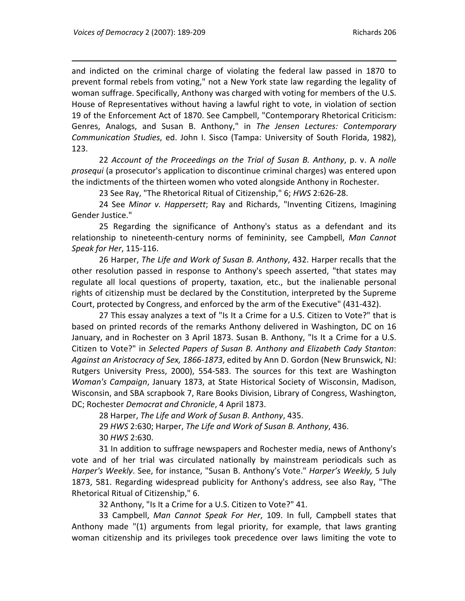and indicted on the criminal charge of violating the federal law passed in 1870 to prevent formal rebels from voting," not a New York state law regarding the legality of woman suffrage. Specifically, Anthony was charged with voting for members of the U.S. House of Representatives without having a lawful right to vote, in violation of section 19 of the Enforcement Act of 1870. See Campbell, "Contemporary Rhetorical Criticism: Genres, Analogs, and Susan B. Anthony," in *The Jensen Lectures: Contemporary Communication Studies*, ed. John I. Sisco (Tampa: University of South Florida, 1982), 123.

22 *Account of the Proceedings on the Trial of Susan B. Anthony*, p. v. A *nolle prosequi* (a prosecutor's application to discontinue criminal charges) was entered upon the indictments of the thirteen women who voted alongside Anthony in Rochester.

23 See Ray, "The Rhetorical Ritual of Citizenship," 6; *HWS* 2:626‐28.

24 See *Minor v. Happersett*; Ray and Richards, "Inventing Citizens, Imagining Gender Justice."

25 Regarding the significance of Anthony's status as a defendant and its relationship to nineteenth‐century norms of femininity, see Campbell, *Man Cannot Speak for Her*, 115‐116.

26 Harper, *The Life and Work of Susan B. Anthony*, 432. Harper recalls that the other resolution passed in response to Anthony's speech asserted, "that states may regulate all local questions of property, taxation, etc., but the inalienable personal rights of citizenship must be declared by the Constitution, interpreted by the Supreme Court, protected by Congress, and enforced by the arm of the Executive" (431‐432).

27 This essay analyzes a text of "Is It a Crime for a U.S. Citizen to Vote?" that is based on printed records of the remarks Anthony delivered in Washington, DC on 16 January, and in Rochester on 3 April 1873. Susan B. Anthony, "Is It a Crime for a U.S. Citizen to Vote?" in *Selected Papers of Susan B. Anthony and Elizabeth Cady Stanton*: *Against an Aristocracy of Sex, 1866‐1873*, edited by Ann D. Gordon (New Brunswick, NJ: Rutgers University Press, 2000), 554‐583. The sources for this text are Washington *Woman's Campaign*, January 1873, at State Historical Society of Wisconsin, Madison, Wisconsin, and SBA scrapbook 7, Rare Books Division, Library of Congress, Washington, DC; Rochester *Democrat and Chronicle*, 4 April 1873.

28 Harper, *The Life and Work of Susan B. Anthony*, 435.

29 *HWS* 2:630; Harper, *The Life and Work of Susan B. Anthony*, 436. 30 *HWS* 2:630.

31 In addition to suffrage newspapers and Rochester media, news of Anthony's vote and of her trial was circulated nationally by mainstream periodicals such as *Harper's Weekly*. See, for instance, "Susan B. Anthony's Vote." *Harper's Weekly,* 5 July 1873, 581. Regarding widespread publicity for Anthony's address, see also Ray, "The Rhetorical Ritual of Citizenship," 6.

32 Anthony, "Is It a Crime for a U.S. Citizen to Vote?" 41.

33 Campbell, *Man Cannot Speak For Her*, 109. In full, Campbell states that Anthony made "(1) arguments from legal priority, for example, that laws granting woman citizenship and its privileges took precedence over laws limiting the vote to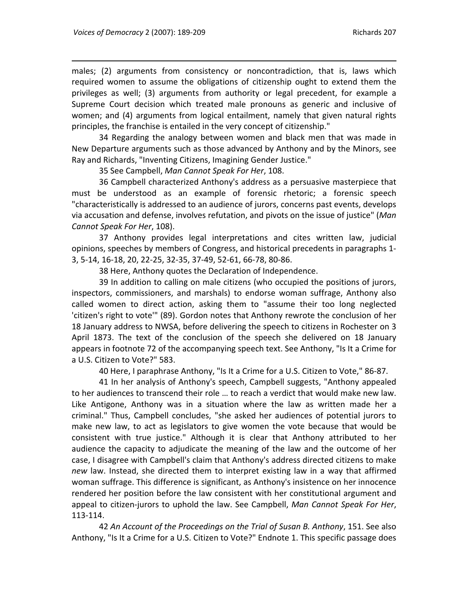males; (2) arguments from consistency or noncontradiction, that is, laws which required women to assume the obligations of citizenship ought to extend them the privileges as well; (3) arguments from authority or legal precedent, for example a Supreme Court decision which treated male pronouns as generic and inclusive of women; and (4) arguments from logical entailment, namely that given natural rights principles, the franchise is entailed in the very concept of citizenship."

34 Regarding the analogy between women and black men that was made in New Departure arguments such as those advanced by Anthony and by the Minors, see Ray and Richards, "Inventing Citizens, Imagining Gender Justice."

35 See Campbell, *Man Cannot Speak For Her*, 108.

36 Campbell characterized Anthony's address as a persuasive masterpiece that must be understood as an example of forensic rhetoric; a forensic speech "characteristically is addressed to an audience of jurors, concerns past events, develops via accusation and defense, involves refutation, and pivots on the issue of justice" (*Man Cannot Speak For Her*, 108).

37 Anthony provides legal interpretations and cites written law, judicial opinions, speeches by members of Congress, and historical precedents in paragraphs 1‐ 3, 5‐14, 16‐18, 20, 22‐25, 32‐35, 37‐49, 52‐61, 66‐78, 80‐86.

38 Here, Anthony quotes the Declaration of Independence.

39 In addition to calling on male citizens (who occupied the positions of jurors, inspectors, commissioners, and marshals) to endorse woman suffrage, Anthony also called women to direct action, asking them to "assume their too long neglected 'citizen's right to vote'" (89). Gordon notes that Anthony rewrote the conclusion of her 18 January address to NWSA, before delivering the speech to citizens in Rochester on 3 April 1873. The text of the conclusion of the speech she delivered on 18 January appears in footnote 72 of the accompanying speech text. See Anthony, "Is It a Crime for a U.S. Citizen to Vote?" 583.

40 Here, I paraphrase Anthony, "Is It a Crime for a U.S. Citizen to Vote," 86‐87.

41 In her analysis of Anthony's speech, Campbell suggests, "Anthony appealed to her audiences to transcend their role … to reach a verdict that would make new law. Like Antigone, Anthony was in a situation where the law as written made her a criminal." Thus, Campbell concludes, "she asked her audiences of potential jurors to make new law, to act as legislators to give women the vote because that would be consistent with true justice." Although it is clear that Anthony attributed to her audience the capacity to adjudicate the meaning of the law and the outcome of her case, I disagree with Campbell's claim that Anthony's address directed citizens to make *new* law. Instead, she directed them to interpret existing law in a way that affirmed woman suffrage. This difference is significant, as Anthony's insistence on her innocence rendered her position before the law consistent with her constitutional argument and appeal to citizen‐jurors to uphold the law. See Campbell, *Man Cannot Speak For Her*, 113‐114.

42 *An Account of the Proceedings on the Trial of Susan B. Anthony*, 151. See also Anthony, "Is It a Crime for a U.S. Citizen to Vote?" Endnote 1. This specific passage does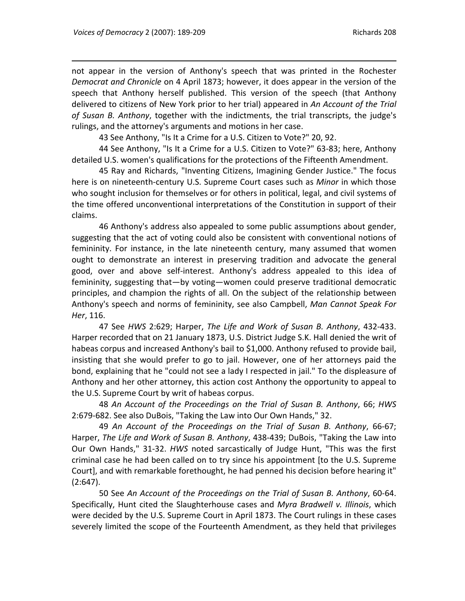not appear in the version of Anthony's speech that was printed in the Rochester *Democrat and Chronicle* on 4 April 1873; however, it does appear in the version of the speech that Anthony herself published. This version of the speech (that Anthony delivered to citizens of New York prior to her trial) appeared in *An Account of the Trial of Susan B. Anthony*, together with the indictments, the trial transcripts, the judge's rulings, and the attorney's arguments and motions in her case.

43 See Anthony, "Is It a Crime for a U.S. Citizen to Vote?" 20, 92.

44 See Anthony, "Is It a Crime for a U.S. Citizen to Vote?" 63‐83; here, Anthony detailed U.S. women's qualifications for the protections of the Fifteenth Amendment.

45 Ray and Richards, "Inventing Citizens, Imagining Gender Justice." The focus here is on nineteenth‐century U.S. Supreme Court cases such as *Minor* in which those who sought inclusion for themselves or for others in political, legal, and civil systems of the time offered unconventional interpretations of the Constitution in support of their claims.

46 Anthony's address also appealed to some public assumptions about gender, suggesting that the act of voting could also be consistent with conventional notions of femininity. For instance, in the late nineteenth century, many assumed that women ought to demonstrate an interest in preserving tradition and advocate the general good, over and above self‐interest. Anthony's address appealed to this idea of femininity, suggesting that—by voting—women could preserve traditional democratic principles, and champion the rights of all. On the subject of the relationship between Anthony's speech and norms of femininity, see also Campbell, *Man Cannot Speak For Her*, 116.

47 See *HWS* 2:629; Harper, *The Life and Work of Susan B. Anthony*, 432‐433. Harper recorded that on 21 January 1873, U.S. District Judge S.K. Hall denied the writ of habeas corpus and increased Anthony's bail to \$1,000. Anthony refused to provide bail, insisting that she would prefer to go to jail. However, one of her attorneys paid the bond, explaining that he "could not see a lady I respected in jail." To the displeasure of Anthony and her other attorney, this action cost Anthony the opportunity to appeal to the U.S. Supreme Court by writ of habeas corpus.

48 *An Account of the Proceedings on the Trial of Susan B. Anthony*, 66; *HWS* 2:679‐682. See also DuBois, "Taking the Law into Our Own Hands," 32.

49 *An Account of the Proceedings on the Trial of Susan B. Anthony*, 66‐67; Harper, *The Life and Work of Susan B. Anthony*, 438‐439; DuBois, "Taking the Law into Our Own Hands," 31‐32. *HWS* noted sarcastically of Judge Hunt, "This was the first criminal case he had been called on to try since his appointment [to the U.S. Supreme Court], and with remarkable forethought, he had penned his decision before hearing it" (2:647).

50 See *An Account of the Proceedings on the Trial of Susan B. Anthony*, 60‐64. Specifically, Hunt cited the Slaughterhouse cases and *Myra Bradwell v. Illinois*, which were decided by the U.S. Supreme Court in April 1873. The Court rulings in these cases severely limited the scope of the Fourteenth Amendment, as they held that privileges